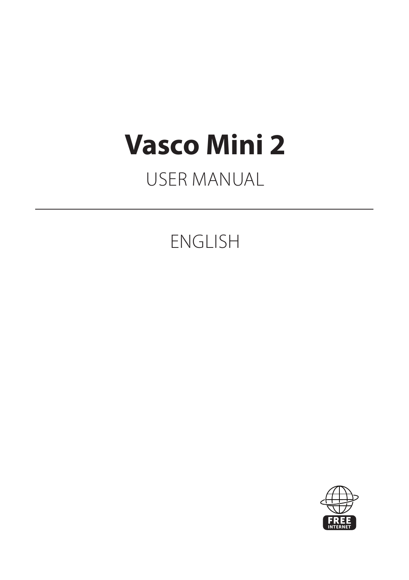# **Vasco Mini 2**

# USER MANUAL

# ENGLISH

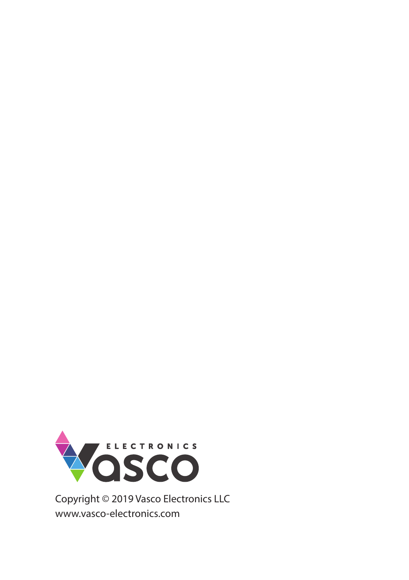

Copyright © 2019 Vasco Electronics LLC www.vasco-electronics.com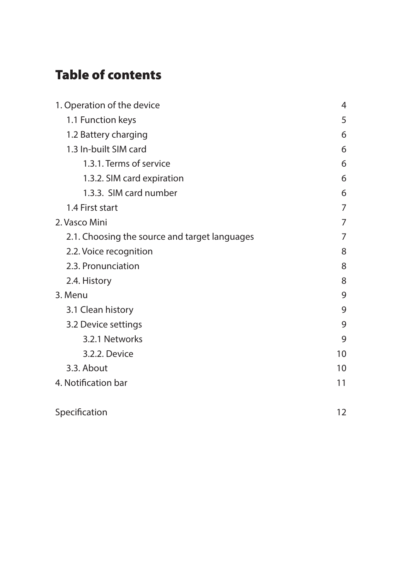## Table of contents

| 1. Operation of the device                    |    |
|-----------------------------------------------|----|
| 1.1 Function keys                             | 5  |
| 1.2 Battery charging                          | 6  |
| 1.3 In-built SIM card                         | 6  |
| 1.3.1. Terms of service                       | 6  |
| 1.3.2. SIM card expiration                    | 6  |
| 1.3.3. SIM card number                        | 6  |
| 1.4 First start                               | 7  |
| 2. Vasco Mini                                 | 7  |
| 2.1. Choosing the source and target languages | 7  |
| 2.2. Voice recognition                        | 8  |
| 2.3. Pronunciation                            | 8  |
| 2.4. History                                  | 8  |
| 3. Menu                                       | 9  |
| 3.1 Clean history                             | 9  |
| 3.2 Device settings                           | 9  |
| 3.2.1 Networks                                | 9  |
| 3.2.2. Device                                 | 10 |
| 3.3. About                                    | 10 |
| 4. Notification bar                           | 11 |
| Specification                                 | 12 |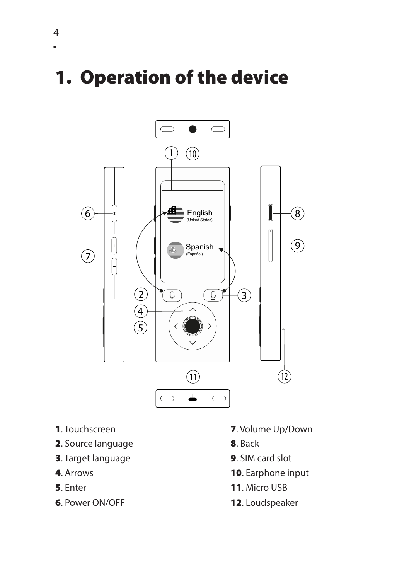# 1. Operation of the device



- 
- **2.** Source language **8. Back**
- **3**. Target language **9.** SIM card slot
- 
- 
- **6. Power ON/OFF** 12. Loudspeaker
- 1. Touchscreen 2. Volume Up/Down
	-
	-
- **4.** Arrows **10.** Earphone input
- **5.** Enter **11.** Micro USB
	-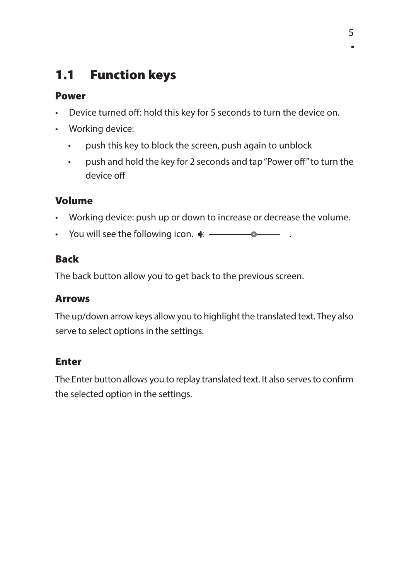### 1.1 Function keys

#### Power

- Device turned off: hold this key for 5 seconds to turn the device on.
- Working device:
	- push this key to block the screen, push again to unblock
	- push and hold the key for 2 seconds and tap "Power off" to turn the device off

#### Volume

- Working device: push up or down to increase or decrease the volume.
- You will see the following icon.  $\bullet$   $\overline{\bullet}$

#### Back

The back button allow you to get back to the previous screen.

#### Arrows

The up/down arrow keys allow you to highlight the translated text. They also serve to select options in the settings.

#### Enter

The Enter button allows you to replay translated text. It also serves to confirm the selected option in the settings.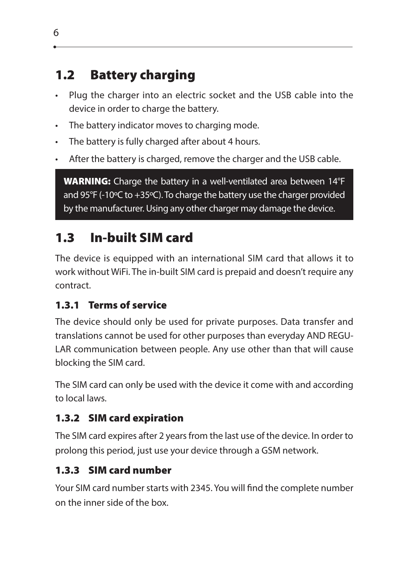### 1.2 Battery charging

- Plug the charger into an electric socket and the USB cable into the device in order to charge the battery.
- The battery indicator moves to charging mode.
- The battery is fully charged after about 4 hours.
- After the battery is charged, remove the charger and the USB cable.

WARNING: Charge the battery in a well-ventilated area between 14°F and 95°F (-10°C to +35°C). To charge the battery use the charger provided by the manufacturer. Using any other charger may damage the device.

### 1.3 In-built SIM card

The device is equipped with an international SIM card that allows it to work without WiFi. The in-built SIM card is prepaid and doesn't require any contract.

#### 1.3.1 Terms of service

The device should only be used for private purposes. Data transfer and translations cannot be used for other purposes than everyday AND REGU-LAR communication between people. Any use other than that will cause blocking the SIM card.

The SIM card can only be used with the device it come with and according to local laws.

#### 1.3.2 SIM card expiration

The SIM card expires after 2 years from the last use of the device. In order to prolong this period, just use your device through a GSM network.

#### 1.3.3 SIM card number

Your SIM card number starts with 2345. You will find the complete number on the inner side of the box.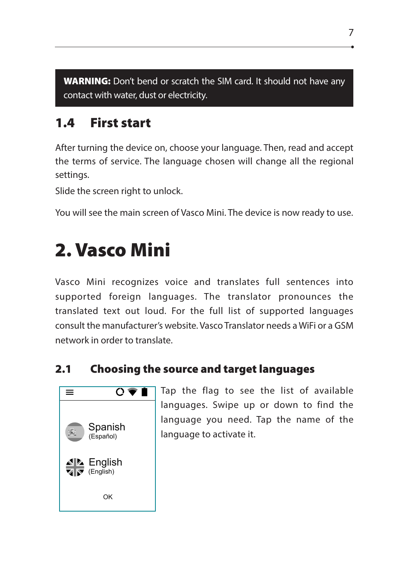WARNING: Don't bend or scratch the SIM card. It should not have any contact with water, dust or electricity.

### 1.4 First start

After turning the device on, choose your language. Then, read and accept the terms of service. The language chosen will change all the regional settings.

Slide the screen right to unlock.

You will see the main screen of Vasco Mini. The device is now ready to use.

# 2. Vasco Mini

Vasco Mini recognizes voice and translates full sentences into supported foreign languages. The translator pronounces the translated text out loud. For the full list of supported languages consult the manufacturer's website. Vasco Translator needs a WiFi or a GSM network in order to translate.

#### 2.1 Choosing the source and target languages



Tap the flag to see the list of available languages. Swipe up or down to find the language you need. Tap the name of the language to activate it.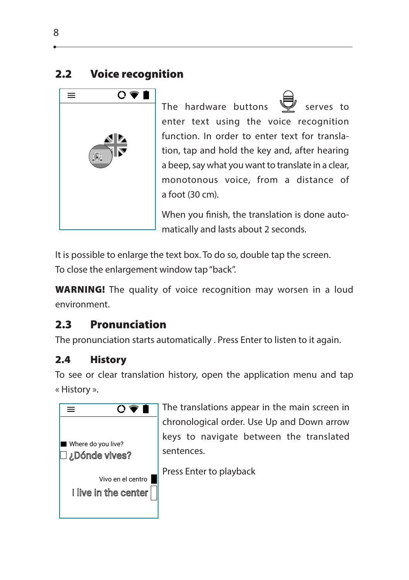#### 2.2 Voice recognition



The hardware buttons serves to enter text using the voice recognition function. In order to enter text for translation, tap and hold the key and, after hearing a beep, say what you want to translate in a clear, monotonous voice, from a distance of a foot (30 cm).

When you finish, the translation is done automatically and lasts about 2 seconds.

It is possible to enlarge the text box. To do so, double tap the screen. To close the enlargement window tap "back".

WARNING! The quality of voice recognition may worsen in a loud environment.

#### 2.3 Pronunciation

The pronunciation starts automatically . Press Enter to listen to it again.

#### 2.4 History

To see or clear translation history, open the application menu and tap « History ».



The translations appear in the main screen in chronological order. Use Up and Down arrow keys to navigate between the translated sentences.

Press Enter to playback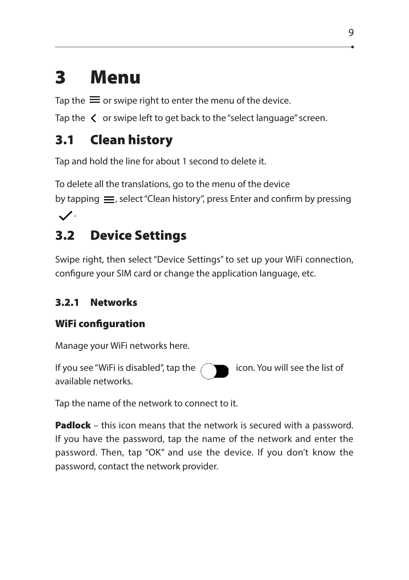# 3 Menu

Tap the  $\equiv$  or swipe right to enter the menu of the device.

Tap the  $\, \zeta \,$  or swipe left to get back to the "select language" screen.

### 3.1 Clean history

Tap and hold the line for about 1 second to delete it.

To delete all the translations, go to the menu of the device

by tapping  $\equiv$ , select "Clean history", press Enter and confirm by pressing

#### $\checkmark$ .

### 3.2 Device Settings

Swipe right, then select "Device Settings" to set up your WiFi connection, configure your SIM card or change the application language, etc.

#### 3.2.1 Networks

#### WiFi configuration

Manage your WiFi networks here.

If you see "WiFi is disabled", tap the  $\bigcap$  icon. You will see the list of available networks.

Tap the name of the network to connect to it.

password. Then, tap "OK" and use the device. If you don't know the **Padlock** – this icon means that the network is secured with a password. If you have the password, tap the name of the network and enter the password, contact the network provider.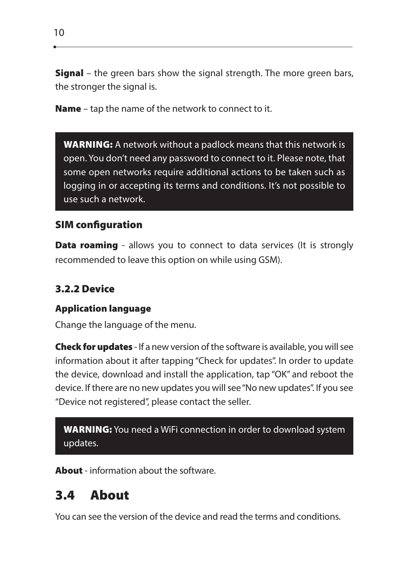**Signal** – the green bars show the signal strength. The more green bars, the stronger the signal is.

Name – tap the name of the network to connect to it.

WARNING: A network without a padlock means that this network is open. You don't need any password to connect to it. Please note, that some open networks require additional actions to be taken such as logging in or accepting its terms and conditions. It's not possible to use such a network.

#### SIM configuration

**Data roaming** - allows you to connect to data services (It is strongly recommended to leave this option on while using GSM).

#### 3.2.2 Device

#### Application language

Change the language of the menu.

**Check for updates** - If a new version of the software is available, you will see information about it after tapping "Check for updates". In order to update the device, download and install the application, tap "OK" and reboot the device. If there are no new updates you will see "No new updates". If you see "Device not registered", please contact the seller.

WARNING: You need a WiFi connection in order to download system updates.

About - information about the software.

### 3.4 About

You can see the version of the device and read the terms and conditions.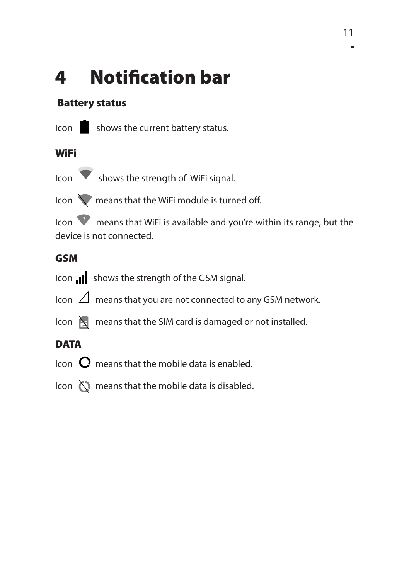# 4 Notification bar

#### Battery status



Icon Shows the current battery status.

#### **WiFi**

Icon **V** shows the strength of WiFi signal.

Icon **W** means that the WiFi module is turned off.

Icon **W** means that WiFi is available and you're within its range, but the device is not connected.

#### GSM

- Icon **I** shows the strength of the GSM signal.
- Icon  $\Box$  means that you are not connected to any GSM network.
- Icon  $\sum_{i=1}^{\infty}$  means that the SIM card is damaged or not installed.

#### **DATA**

- Icon  $\mathbf C$  means that the mobile data is enabled.
- Icon  $\bigcirc$  means that the mobile data is disabled.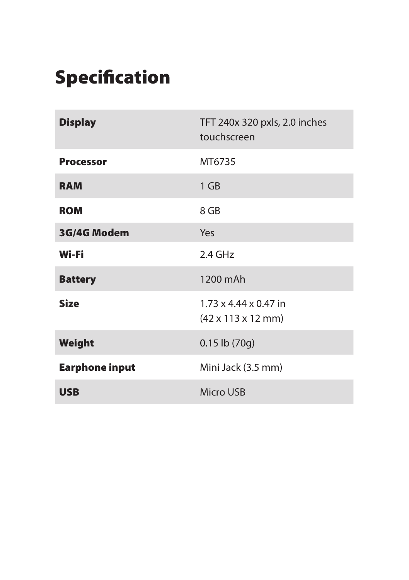# **Specification**

| <b>Display</b>        | TFT 240x 320 pxls, 2.0 inches<br>touchscreen                                |
|-----------------------|-----------------------------------------------------------------------------|
| <b>Processor</b>      | MT6735                                                                      |
| <b>RAM</b>            | 1 GB                                                                        |
| <b>ROM</b>            | 8 GB                                                                        |
| 3G/4G Modem           | Yes                                                                         |
| Wi-Fi                 | 2.4 GHz                                                                     |
| <b>Battery</b>        | 1200 mAh                                                                    |
| <b>Size</b>           | $1.73 \times 4.44 \times 0.47$ in<br>$(42 \times 113 \times 12 \text{ mm})$ |
| Weight                | $0.15$ lb $(70g)$                                                           |
| <b>Earphone input</b> | Mini Jack (3.5 mm)                                                          |
| <b>USB</b>            | <b>Micro USB</b>                                                            |